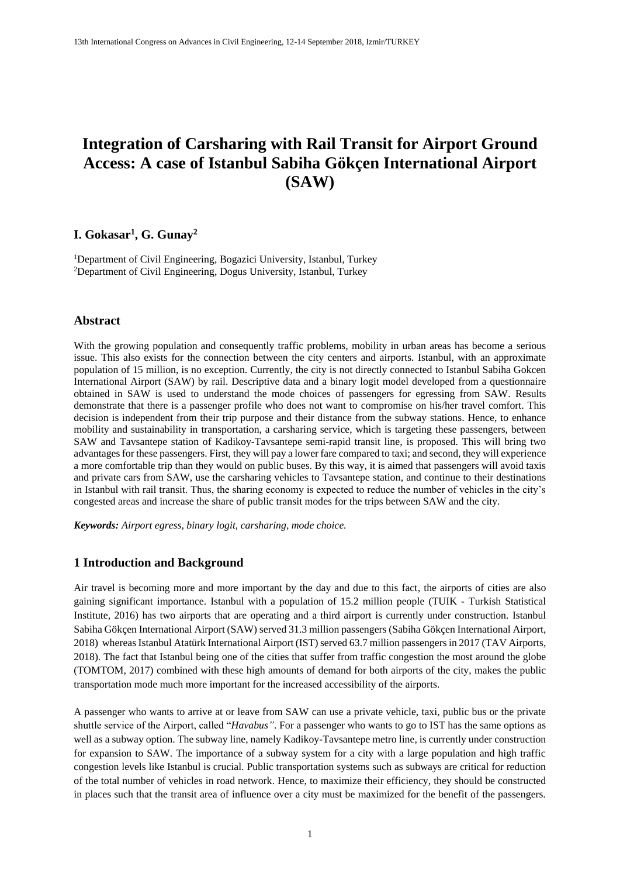# **Integration of Carsharing with Rail Transit for Airport Ground Access: A case of Istanbul Sabiha Gökçen International Airport (SAW)**

# **I. Gokasar<sup>1</sup> , G. Gunay<sup>2</sup>**

<sup>1</sup>Department of Civil Engineering, Bogazici University, Istanbul, Turkey <sup>2</sup>Department of Civil Engineering, Dogus University, Istanbul, Turkey

# **Abstract**

With the growing population and consequently traffic problems, mobility in urban areas has become a serious issue. This also exists for the connection between the city centers and airports. Istanbul, with an approximate population of 15 million, is no exception. Currently, the city is not directly connected to Istanbul Sabiha Gokcen International Airport (SAW) by rail. Descriptive data and a binary logit model developed from a questionnaire obtained in SAW is used to understand the mode choices of passengers for egressing from SAW. Results demonstrate that there is a passenger profile who does not want to compromise on his/her travel comfort. This decision is independent from their trip purpose and their distance from the subway stations. Hence, to enhance mobility and sustainability in transportation, a carsharing service, which is targeting these passengers, between SAW and Tavsantepe station of Kadikoy-Tavsantepe semi-rapid transit line, is proposed. This will bring two advantages for these passengers. First, they will pay a lower fare compared to taxi; and second, they will experience a more comfortable trip than they would on public buses. By this way, it is aimed that passengers will avoid taxis and private cars from SAW, use the carsharing vehicles to Tavsantepe station, and continue to their destinations in Istanbul with rail transit. Thus, the sharing economy is expected to reduce the number of vehicles in the city's congested areas and increase the share of public transit modes for the trips between SAW and the city.

*Keywords: Airport egress, binary logit, carsharing, mode choice.*

# **1 Introduction and Background**

Air travel is becoming more and more important by the day and due to this fact, the airports of cities are also gaining significant importance. Istanbul with a population of 15.2 million people (TUIK - Turkish Statistical Institute, 2016) has two airports that are operating and a third airport is currently under construction. Istanbul Sabiha Gökçen International Airport (SAW) served 31.3 million passengers (Sabiha Gökçen International Airport, 2018) whereas Istanbul Atatürk International Airport (IST) served 63.7 million passengers in 2017 (TAV Airports, 2018). The fact that Istanbul being one of the cities that suffer from traffic congestion the most around the globe (TOMTOM, 2017) combined with these high amounts of demand for both airports of the city, makes the public transportation mode much more important for the increased accessibility of the airports.

A passenger who wants to arrive at or leave from SAW can use a private vehicle, taxi, public bus or the private shuttle service of the Airport, called "*Havabus"*. For a passenger who wants to go to IST has the same options as well as a subway option. The subway line, namely Kadikoy-Tavsantepe metro line, is currently under construction for expansion to SAW. The importance of a subway system for a city with a large population and high traffic congestion levels like Istanbul is crucial. Public transportation systems such as subways are critical for reduction of the total number of vehicles in road network. Hence, to maximize their efficiency, they should be constructed in places such that the transit area of influence over a city must be maximized for the benefit of the passengers.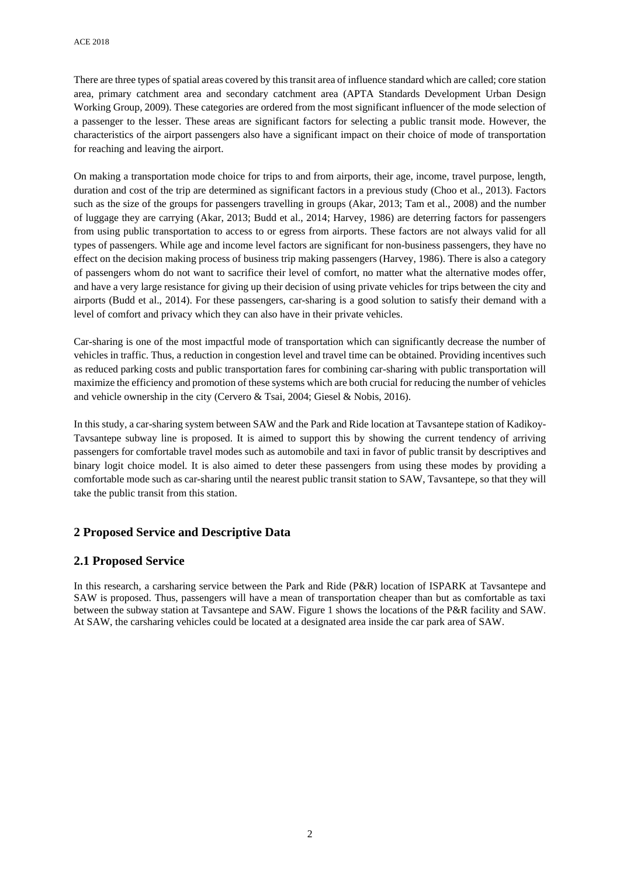There are three types of spatial areas covered by this transit area of influence standard which are called; core station area, primary catchment area and secondary catchment area (APTA Standards Development Urban Design Working Group, 2009). These categories are ordered from the most significant influencer of the mode selection of a passenger to the lesser. These areas are significant factors for selecting a public transit mode. However, the characteristics of the airport passengers also have a significant impact on their choice of mode of transportation for reaching and leaving the airport.

On making a transportation mode choice for trips to and from airports, their age, income, travel purpose, length, duration and cost of the trip are determined as significant factors in a previous study (Choo et al., 2013). Factors such as the size of the groups for passengers travelling in groups (Akar, 2013; Tam et al., 2008) and the number of luggage they are carrying (Akar, 2013; Budd et al., 2014; Harvey, 1986) are deterring factors for passengers from using public transportation to access to or egress from airports. These factors are not always valid for all types of passengers. While age and income level factors are significant for non-business passengers, they have no effect on the decision making process of business trip making passengers (Harvey, 1986). There is also a category of passengers whom do not want to sacrifice their level of comfort, no matter what the alternative modes offer, and have a very large resistance for giving up their decision of using private vehicles for trips between the city and airports (Budd et al., 2014). For these passengers, car-sharing is a good solution to satisfy their demand with a level of comfort and privacy which they can also have in their private vehicles.

Car-sharing is one of the most impactful mode of transportation which can significantly decrease the number of vehicles in traffic. Thus, a reduction in congestion level and travel time can be obtained. Providing incentives such as reduced parking costs and public transportation fares for combining car-sharing with public transportation will maximize the efficiency and promotion of these systems which are both crucial for reducing the number of vehicles and vehicle ownership in the city (Cervero & Tsai, 2004; Giesel & Nobis, 2016).

In this study, a car-sharing system between SAW and the Park and Ride location at Tavsantepe station of Kadikoy-Tavsantepe subway line is proposed. It is aimed to support this by showing the current tendency of arriving passengers for comfortable travel modes such as automobile and taxi in favor of public transit by descriptives and binary logit choice model. It is also aimed to deter these passengers from using these modes by providing a comfortable mode such as car-sharing until the nearest public transit station to SAW, Tavsantepe, so that they will take the public transit from this station.

# **2 Proposed Service and Descriptive Data**

# **2.1 Proposed Service**

In this research, a carsharing service between the Park and Ride (P&R) location of ISPARK at Tavsantepe and SAW is proposed. Thus, passengers will have a mean of transportation cheaper than but as comfortable as taxi between the subway station at Tavsantepe and SAW. Figure 1 shows the locations of the P&R facility and SAW. At SAW, the carsharing vehicles could be located at a designated area inside the car park area of SAW.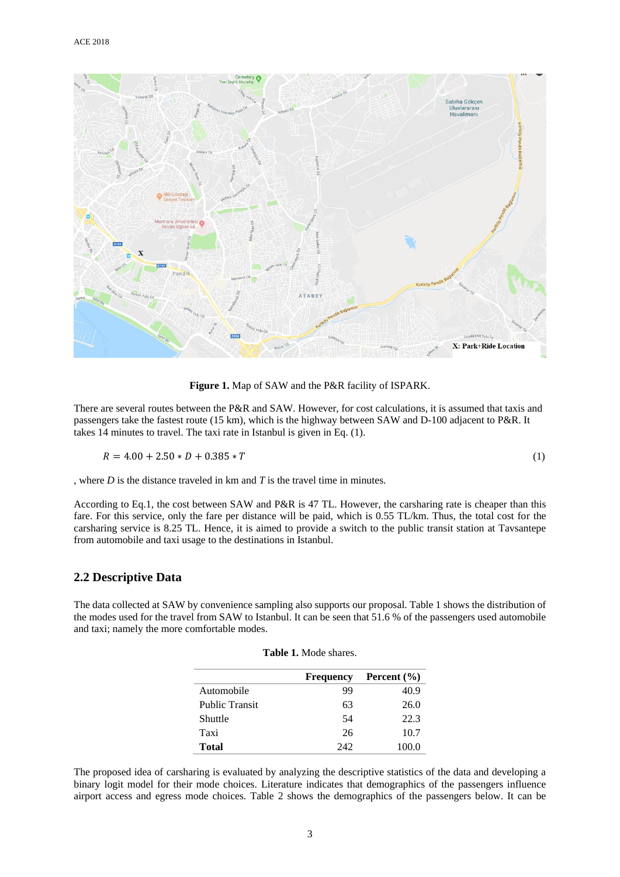

**Figure 1.** Map of SAW and the P&R facility of ISPARK.

There are several routes between the P&R and SAW. However, for cost calculations, it is assumed that taxis and passengers take the fastest route (15 km), which is the highway between SAW and D-100 adjacent to P&R. It takes 14 minutes to travel. The taxi rate in Istanbul is given in Eq. (1).

$$
R = 4.00 + 2.50 * D + 0.385 * T \tag{1}
$$

, where *D* is the distance traveled in km and *T* is the travel time in minutes.

According to Eq.1, the cost between SAW and P&R is 47 TL. However, the carsharing rate is cheaper than this fare. For this service, only the fare per distance will be paid, which is 0.55 TL/km. Thus, the total cost for the carsharing service is 8.25 TL. Hence, it is aimed to provide a switch to the public transit station at Tavsantepe from automobile and taxi usage to the destinations in Istanbul.

#### **2.2 Descriptive Data**

The data collected at SAW by convenience sampling also supports our proposal. Table 1 shows the distribution of the modes used for the travel from SAW to Istanbul. It can be seen that 51.6 % of the passengers used automobile and taxi; namely the more comfortable modes.

**Table 1.** Mode shares.

|                       | <b>Frequency</b> | Percent $(\% )$ |
|-----------------------|------------------|-----------------|
| Automobile            | 99               | 40.9            |
| <b>Public Transit</b> | 63               | 26.0            |
| Shuttle               | 54               | 22.3            |
| Taxi                  | 26               | 10.7            |
| <b>Total</b>          | 242              | 100.0           |

The proposed idea of carsharing is evaluated by analyzing the descriptive statistics of the data and developing a binary logit model for their mode choices. Literature indicates that demographics of the passengers influence airport access and egress mode choices. Table 2 shows the demographics of the passengers below. It can be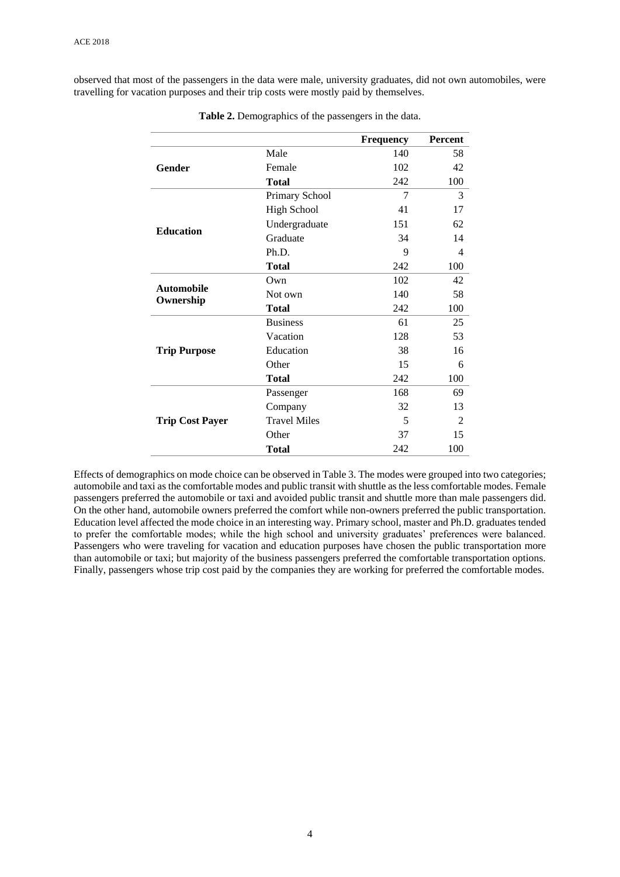observed that most of the passengers in the data were male, university graduates, did not own automobiles, were travelling for vacation purposes and their trip costs were mostly paid by themselves.

|                                |                     | <b>Frequency</b> | <b>Percent</b> |
|--------------------------------|---------------------|------------------|----------------|
|                                | Male                | 140              | 58             |
| <b>Gender</b>                  | Female              | 102              | 42             |
|                                | <b>Total</b>        | 242              | 100            |
|                                | Primary School      | $\overline{7}$   | 3              |
|                                | <b>High School</b>  | 41               | 17             |
| <b>Education</b>               | Undergraduate       | 151              | 62             |
|                                | Graduate            | 34               | 14             |
|                                | Ph.D.               | 9                | 4              |
|                                | <b>Total</b>        | 242              | 100            |
|                                | Own                 | 102              | 42             |
| <b>Automobile</b><br>Ownership | Not own             | 140              | 58             |
|                                | <b>Total</b>        | 242              | 100            |
|                                | <b>Business</b>     | 61               | 25             |
|                                | Vacation            | 128              | 53             |
| <b>Trip Purpose</b>            | Education           | 38               | 16             |
|                                | Other               | 15               | 6              |
|                                | <b>Total</b>        | 242              | 100            |
|                                | Passenger           | 168              | 69             |
|                                | Company             | 32               | 13             |
| <b>Trip Cost Payer</b>         | <b>Travel Miles</b> | 5                | $\overline{2}$ |
|                                | Other               | 37               | 15             |
|                                | <b>Total</b>        | 242              | 100            |

**Table 2.** Demographics of the passengers in the data.

Effects of demographics on mode choice can be observed in Table 3. The modes were grouped into two categories; automobile and taxi as the comfortable modes and public transit with shuttle as the less comfortable modes. Female passengers preferred the automobile or taxi and avoided public transit and shuttle more than male passengers did. On the other hand, automobile owners preferred the comfort while non-owners preferred the public transportation. Education level affected the mode choice in an interesting way. Primary school, master and Ph.D. graduates tended to prefer the comfortable modes; while the high school and university graduates' preferences were balanced. Passengers who were traveling for vacation and education purposes have chosen the public transportation more than automobile or taxi; but majority of the business passengers preferred the comfortable transportation options. Finally, passengers whose trip cost paid by the companies they are working for preferred the comfortable modes.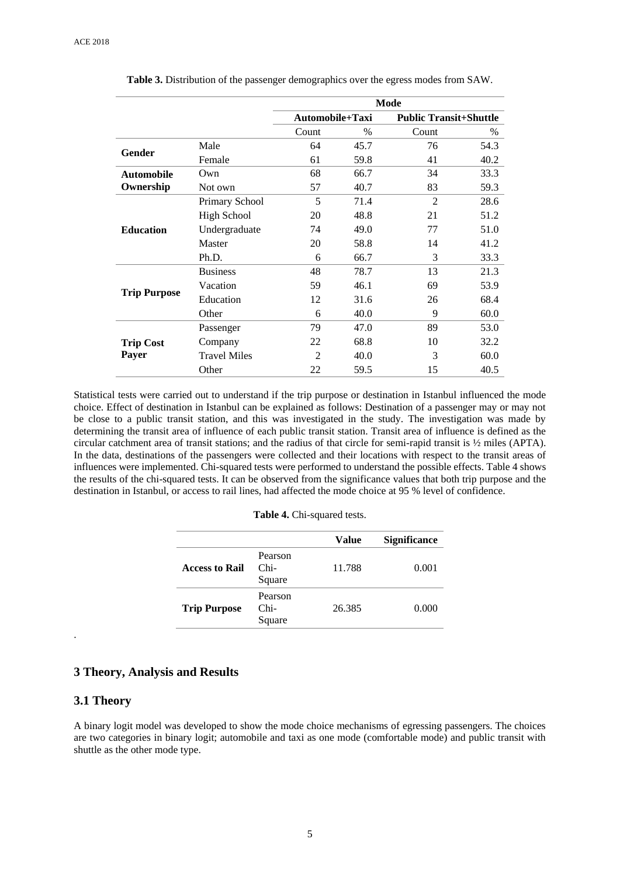|                                  |                     | Mode            |      |                               |      |
|----------------------------------|---------------------|-----------------|------|-------------------------------|------|
|                                  |                     | Automobile+Taxi |      | <b>Public Transit+Shuttle</b> |      |
|                                  |                     | Count           | $\%$ | Count                         | $\%$ |
| Gender                           | Male                | 64              | 45.7 | 76                            | 54.3 |
|                                  | Female              | 61              | 59.8 | 41                            | 40.2 |
| <b>Automobile</b>                | Own                 | 68              | 66.7 | 34                            | 33.3 |
| Ownership                        | Not own             | 57              | 40.7 | 83                            | 59.3 |
| <b>Education</b>                 | Primary School      | 5               | 71.4 | $\mathfrak{D}$                | 28.6 |
|                                  | <b>High School</b>  | 20              | 48.8 | 21                            | 51.2 |
|                                  | Undergraduate       | 74              | 49.0 | 77                            | 51.0 |
|                                  | Master              | 20              | 58.8 | 14                            | 41.2 |
|                                  | Ph.D.               | 6               | 66.7 | 3                             | 33.3 |
|                                  | <b>Business</b>     | 48              | 78.7 | 13                            | 21.3 |
| <b>Trip Purpose</b>              | Vacation            | 59              | 46.1 | 69                            | 53.9 |
|                                  | Education           | 12              | 31.6 | 26                            | 68.4 |
|                                  | Other               | 6               | 40.0 | 9                             | 60.0 |
| <b>Trip Cost</b><br><b>Payer</b> | Passenger           | 79              | 47.0 | 89                            | 53.0 |
|                                  | Company             | 22              | 68.8 | 10                            | 32.2 |
|                                  | <b>Travel Miles</b> | $\overline{2}$  | 40.0 | 3                             | 60.0 |
|                                  | Other               | 22              | 59.5 | 15                            | 40.5 |

**Table 3.** Distribution of the passenger demographics over the egress modes from SAW.

Statistical tests were carried out to understand if the trip purpose or destination in Istanbul influenced the mode choice. Effect of destination in Istanbul can be explained as follows: Destination of a passenger may or may not be close to a public transit station, and this was investigated in the study. The investigation was made by determining the transit area of influence of each public transit station. Transit area of influence is defined as the circular catchment area of transit stations; and the radius of that circle for semi-rapid transit is ½ miles (APTA). In the data, destinations of the passengers were collected and their locations with respect to the transit areas of influences were implemented. Chi-squared tests were performed to understand the possible effects. Table 4 shows the results of the chi-squared tests. It can be observed from the significance values that both trip purpose and the destination in Istanbul, or access to rail lines, had affected the mode choice at 95 % level of confidence.

|                       |                             | Value  | <b>Significance</b> |
|-----------------------|-----------------------------|--------|---------------------|
| <b>Access to Rail</b> | Pearson<br>$Chi-$<br>Square | 11.788 | 0.001               |
| <b>Trip Purpose</b>   | Pearson<br>$Chi-$<br>Square | 26.385 | 0.000               |

### **3 Theory, Analysis and Results**

## **3.1 Theory**

.

A binary logit model was developed to show the mode choice mechanisms of egressing passengers. The choices are two categories in binary logit; automobile and taxi as one mode (comfortable mode) and public transit with shuttle as the other mode type.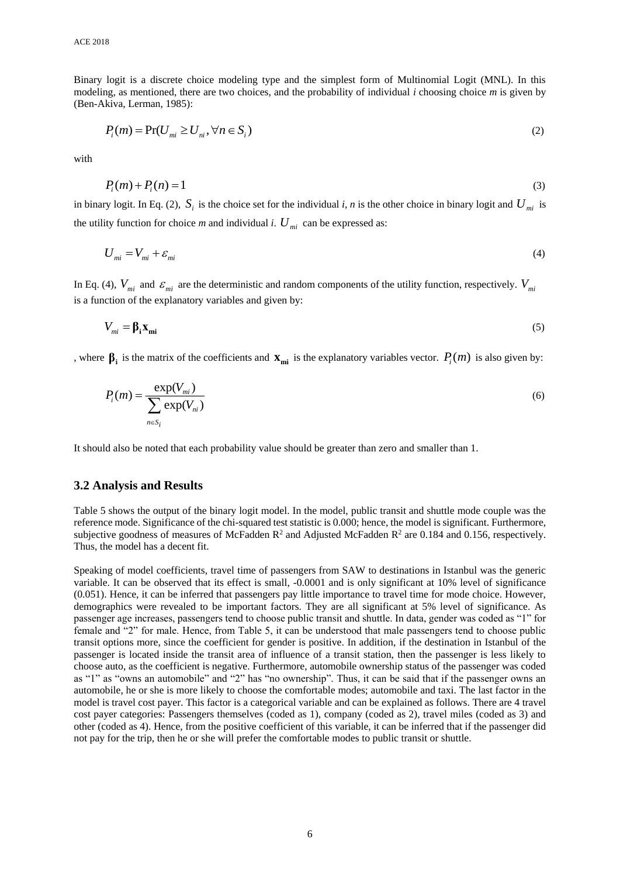Binary logit is a discrete choice modeling type and the simplest form of Multinomial Logit (MNL). In this modeling, as mentioned, there are two choices, and the probability of individual *i* choosing choice *m* is given by (Ben-Akiva, Lerman, 1985):

$$
P_i(m) = \Pr(U_{mi} \ge U_{ni}, \forall n \in S_i)
$$
\n<sup>(2)</sup>

with

$$
P_i(m) + P_i(n) = 1 \tag{3}
$$

in binary logit. In Eq. (2),  $S_i$  is the choice set for the individual *i*, *n* is the other choice in binary logit and  $U_{mi}$  is the utility function for choice *m* and individual *i*.  $U_{mi}$  can be expressed as:

$$
U_{mi} = V_{mi} + \varepsilon_{mi} \tag{4}
$$

In Eq. (4),  $V_{mi}$  and  $\varepsilon_{mi}$  are the deterministic and random components of the utility function, respectively.  $V_{mi}$ is a function of the explanatory variables and given by:

$$
V_{mi} = \beta_i \mathbf{x}_{mi} \tag{5}
$$

, where  $\beta_i$  is the matrix of the coefficients and  $\mathbf{x}_{mi}$  is the explanatory variables vector.  $P_i(m)$  is also given by:

$$
P_i(m) = \frac{\exp(V_{mi})}{\sum_{n \in S_i} \exp(V_{ni})}
$$
\n<sup>(6)</sup>

It should also be noted that each probability value should be greater than zero and smaller than 1.

# **3.2 Analysis and Results**

Table 5 shows the output of the binary logit model. In the model, public transit and shuttle mode couple was the reference mode. Significance of the chi-squared test statistic is 0.000; hence, the model is significant. Furthermore, subjective goodness of measures of McFadden  $\mathbb{R}^2$  and Adjusted McFadden  $\mathbb{R}^2$  are 0.184 and 0.156, respectively. Thus, the model has a decent fit.

Speaking of model coefficients, travel time of passengers from SAW to destinations in Istanbul was the generic variable. It can be observed that its effect is small, -0.0001 and is only significant at 10% level of significance (0.051). Hence, it can be inferred that passengers pay little importance to travel time for mode choice. However, demographics were revealed to be important factors. They are all significant at 5% level of significance. As passenger age increases, passengers tend to choose public transit and shuttle. In data, gender was coded as "1" for female and "2" for male. Hence, from Table 5, it can be understood that male passengers tend to choose public transit options more, since the coefficient for gender is positive. In addition, if the destination in Istanbul of the passenger is located inside the transit area of influence of a transit station, then the passenger is less likely to choose auto, as the coefficient is negative. Furthermore, automobile ownership status of the passenger was coded as "1" as "owns an automobile" and "2" has "no ownership". Thus, it can be said that if the passenger owns an automobile, he or she is more likely to choose the comfortable modes; automobile and taxi. The last factor in the model is travel cost payer. This factor is a categorical variable and can be explained as follows. There are 4 travel cost payer categories: Passengers themselves (coded as 1), company (coded as 2), travel miles (coded as 3) and other (coded as 4). Hence, from the positive coefficient of this variable, it can be inferred that if the passenger did not pay for the trip, then he or she will prefer the comfortable modes to public transit or shuttle.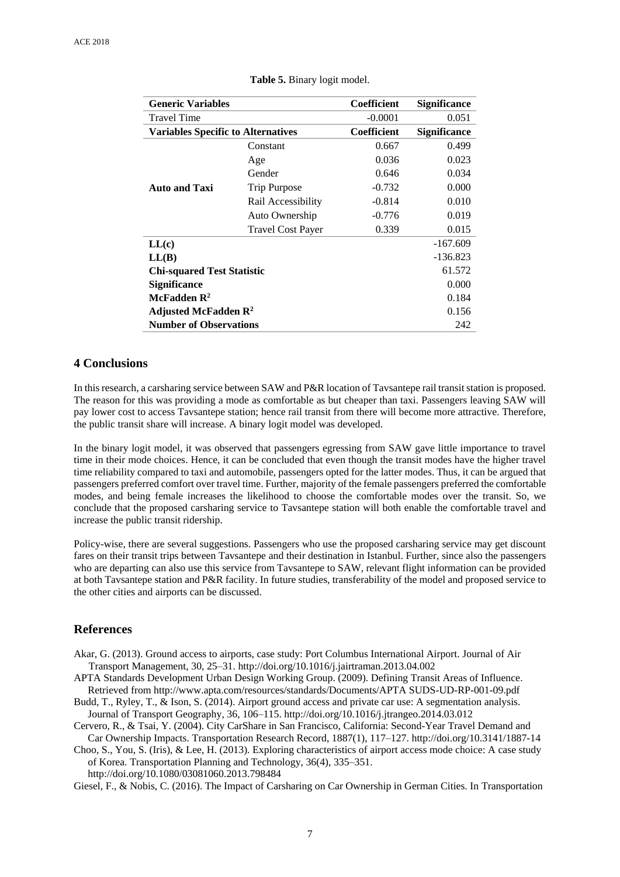| <b>Generic Variables</b>                  |                          | Coefficient        | <b>Significance</b> |
|-------------------------------------------|--------------------------|--------------------|---------------------|
| <b>Travel Time</b>                        |                          | $-0.0001$          | 0.051               |
| <b>Variables Specific to Alternatives</b> |                          | <b>Coefficient</b> | <b>Significance</b> |
|                                           | Constant                 | 0.667              | 0.499               |
| <b>Auto and Taxi</b>                      | Age                      | 0.036              | 0.023               |
|                                           | Gender                   | 0.646              | 0.034               |
|                                           | <b>Trip Purpose</b>      | $-0.732$           | 0.000               |
|                                           | Rail Accessibility       | $-0.814$           | 0.010               |
|                                           | Auto Ownership           | $-0.776$           | 0.019               |
|                                           | <b>Travel Cost Payer</b> | 0.339              | 0.015               |
| LL(c)                                     |                          |                    | $-167.609$          |
| LL(B)                                     |                          |                    | $-136.823$          |
| <b>Chi-squared Test Statistic</b>         |                          |                    | 61.572              |
| <b>Significance</b>                       |                          |                    | 0.000               |
| McFadden $\mathbf{R}^2$                   |                          |                    | 0.184               |
| Adjusted McFadden $\mathbb{R}^2$          |                          |                    | 0.156               |
| <b>Number of Observations</b>             |                          |                    | 242                 |

**Table 5.** Binary logit model.

# **4 Conclusions**

In this research, a carsharing service between SAW and P&R location of Tavsantepe rail transit station is proposed. The reason for this was providing a mode as comfortable as but cheaper than taxi. Passengers leaving SAW will pay lower cost to access Tavsantepe station; hence rail transit from there will become more attractive. Therefore, the public transit share will increase. A binary logit model was developed.

In the binary logit model, it was observed that passengers egressing from SAW gave little importance to travel time in their mode choices. Hence, it can be concluded that even though the transit modes have the higher travel time reliability compared to taxi and automobile, passengers opted for the latter modes. Thus, it can be argued that passengers preferred comfort over travel time. Further, majority of the female passengers preferred the comfortable modes, and being female increases the likelihood to choose the comfortable modes over the transit. So, we conclude that the proposed carsharing service to Tavsantepe station will both enable the comfortable travel and increase the public transit ridership.

Policy-wise, there are several suggestions. Passengers who use the proposed carsharing service may get discount fares on their transit trips between Tavsantepe and their destination in Istanbul. Further, since also the passengers who are departing can also use this service from Tavsantepe to SAW, relevant flight information can be provided at both Tavsantepe station and P&R facility. In future studies, transferability of the model and proposed service to the other cities and airports can be discussed.

# **References**

- Akar, G. (2013). Ground access to airports, case study: Port Columbus International Airport. Journal of Air Transport Management, 30, 25–31. http://doi.org/10.1016/j.jairtraman.2013.04.002
- APTA Standards Development Urban Design Working Group. (2009). Defining Transit Areas of Influence. Retrieved from http://www.apta.com/resources/standards/Documents/APTA SUDS-UD-RP-001-09.pdf
- Budd, T., Ryley, T., & Ison, S. (2014). Airport ground access and private car use: A segmentation analysis. Journal of Transport Geography, 36, 106–115. http://doi.org/10.1016/j.jtrangeo.2014.03.012
- Cervero, R., & Tsai, Y. (2004). City CarShare in San Francisco, California: Second-Year Travel Demand and Car Ownership Impacts. Transportation Research Record, 1887(1), 117–127. http://doi.org/10.3141/1887-14
- Choo, S., You, S. (Iris), & Lee, H. (2013). Exploring characteristics of airport access mode choice: A case study of Korea. Transportation Planning and Technology, 36(4), 335–351. http://doi.org/10.1080/03081060.2013.798484

Giesel, F., & Nobis, C. (2016). The Impact of Carsharing on Car Ownership in German Cities. In Transportation